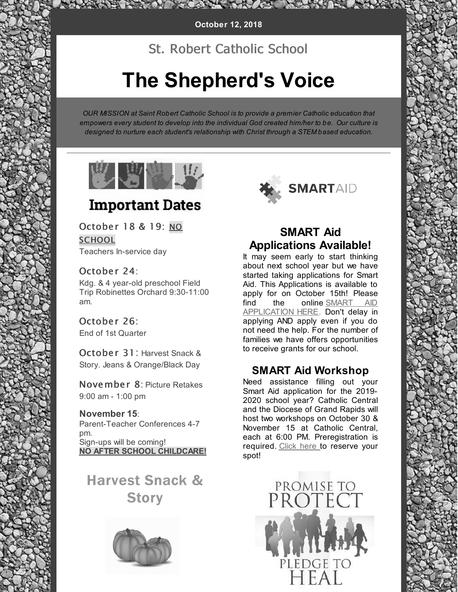MACANA RACCO RE

## St. Robert Catholic School

# **The Shepherd's Voice**

*OUR MISSION at Saint Robert Catholic School is to provide a premier Catholic education that [empowers](https://strobertschoolada.org/) every student to develop into the individual God created him/her to be. Our culture is designed to nurture each student's relationship with Christ through a STEM based education.*



# **Important Dates**

October 18 & 19: NO **SCHOOL** 

Teachers In-service day

## October 24:

Kdg. & 4 year-old preschool Field Trip Robinettes Orchard 9:30-11:00 am.

October 26: End of 1st Quarter

October 31: Harvest Snack & Story. Jeans & Orange/Black Day

November 8: Picture Retakes 9:00 am - 1:00 pm

**November 15**: Parent-Teacher Conferences 4-7 pm. Sign-ups will be coming! **NO AFTER SCHOOL CHILDCARE!**

Harvest Snack & **Story** 





## **SMART Aid Applications Available!**

It may seem early to start thinking about next school year but we have started taking applications for Smart Aid. This Applications is available to apply for on October 15th! Please find the online SMART AID [APPLICATION](http://files.constantcontact.com/5f437f96701/f9ab6b2c-0a46-4716-a547-4c1da266ffcc.pdf) HERE. Don't delay in applying AND apply even if you do not need the help. For the number of families we have offers opportunities to receive grants for our school.

## **SMART Aid [Workshop](http://www.grcatholiccentral.org/announcement/cougar-parent-news-10-03-18/#unique-identifier-5.2)**

Need assistance filling out your Smart Aid application for the 2019- 2020 school year? Catholic Central and the Diocese of Grand Rapids will host two workshops on October 30 & November 15 at Catholic Central, each at 6:00 PM. Preregistration is required. [Click](https://docs.google.com/forms/d/e/1FAIpQLSfmEE_AXioKb7zuyT1j2_-H9bxqV1mMqqGs1mQfiNLUk01W9g/viewform) here to reserve your spot!

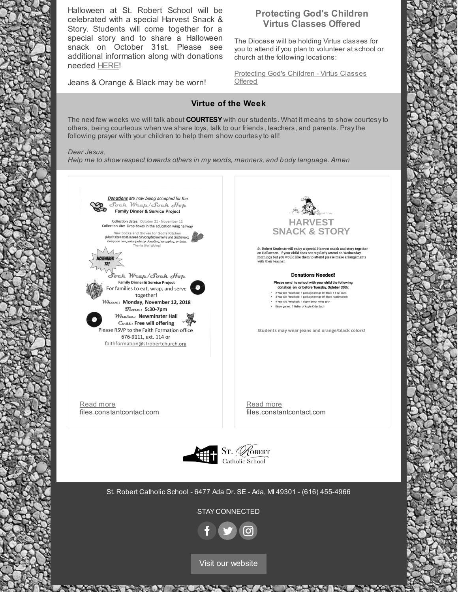Halloween at St. Robert School will be celebrated with a special Harvest Snack & Story. Students will come together for a special story and to share a Halloween snack on October 31st. Please see additional information along with donations needed [HERE](http://files.constantcontact.com/5f437f96701/d49b77bc-07c7-481c-b1bd-b215aa61099d.pdf)!

Jeans & Orange & Black may be worn!

### **Protecting God's Children Virtus Classes Offered**

The Diocese will be holding Virtus classes for you to attend if you plan to volunteer at school or church at the following locations:

[Protecting](https://mail-attachment.googleusercontent.com/attachment/u/0/?ui=2&ik=04b100d4f0&attid=0.2&permmsgid=msg-f:1613766579691810396&th=1665402774ed6e5c&view=att&disp=inline&realattid=f_jn0dgp9m1&saddbat=ANGjdJ_WrPoHxHOKxhtxGCUktM-DGvVeDT1viVcHK5MuWMfK2wnvyR2sj0pS9bx0MFMa8R5jweM4v6ePu9fNvALeagpTpGfpoFO2mKalP8EiYlOSAmi89zkCi4u_fj59qwWF-dZ6FyLFJKENIKb1CsSFzUJgkK6zLAQNNsNP9NAodjSMA7INyI-Zh60CtwVEU0xsXQIafwxKVksDDWpbsCOFkPty3VHnTir01idZhdu9eKmHe1943H8xOcgzj-1IixrFGkG4WLrF1W1FzeNpQEn74_ApJSBHvyuVSXUVI9VxFiDbjGDEm9MOzqJ1d9F_c8SnPaJ6BQoaRcbFMTFcKWJnoITdJ6ehnniP_hz4KgFBVnIT1rse8gDE-0Cfe8gro3DpWC2Ad_zb-2XFJaALojMtl6jDsapPppgxJ_vHjUdWZrkwzGvvPrBYorbjr_4SMtLatl2lZrKwAmU5gmV6FXq0foBW0kt42ruq0gO_wujhKt2GzmAeDiIA81o2sK3ljTQeSznZ7s9xTquFgpsrt7-KO1RMxiLU4xXLKJXry8eOb5lOTfZ_n_MoXcg77pP2tmaj5GLqHNVCxA_bzP0uSMbR1ou9SwWTC0_6wLFQXRuaywz67LfvTeY2zcAFcaC8D3OuxWs6-dFV7y3qzX5w) God's Children - Virtus Classes **Offered** 

#### **Virtue of the Week**

The next few weeks we will talk about **COURTESY** with our students. What it means to show courtesyto others, being courteous when we share toys, talk to our friends, teachers, and parents. Praythe following prayer with your children to help them show courtesyto all!

#### *Dear Jesus,*

*Help me to show respect towards others in my words, manners, and body language. Amen*



Visit our [website](http://www.strobertschoolada.org)

**ANTICOLOGICAL** 

A CHANGERY

**ANGELIA** 

**MARKET** 

1000